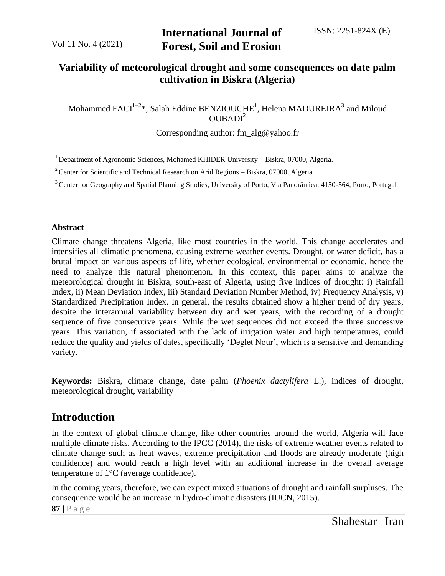### **Variability of meteorological drought and some consequences on date palm cultivation in Biskra (Algeria)**

Mohammed  $\mathrm{FACI}^{1+2}$ \*, Salah Eddine BENZIOUCHE<sup>1</sup>, Helena MADUREIRA $^3$  and Miloud  $OUBADI<sup>2</sup>$ 

Corresponding author: fm\_alg@yahoo.fr

 $1$  Department of Agronomic Sciences, Mohamed KHIDER University – Biskra, 07000, Algeria.

 $2^2$  Center for Scientific and Technical Research on Arid Regions – Biskra, 07000, Algeria.

<sup>3</sup> Center for Geography and Spatial Planning Studies, University of Porto, Via Panorâmica, 4150-564, Porto, Portugal

#### **Abstract**

Climate change threatens Algeria, like most countries in the world. This change accelerates and intensifies all climatic phenomena, causing extreme weather events. Drought, or water deficit, has a brutal impact on various aspects of life, whether ecological, environmental or economic, hence the need to analyze this natural phenomenon. In this context, this paper aims to analyze the meteorological drought in Biskra, south-east of Algeria, using five indices of drought: i) Rainfall Index, ii) Mean Deviation Index, iii) Standard Deviation Number Method, iv) Frequency Analysis, v) Standardized Precipitation Index. In general, the results obtained show a higher trend of dry years, despite the interannual variability between dry and wet years, with the recording of a drought sequence of five consecutive years. While the wet sequences did not exceed the three successive years. This variation, if associated with the lack of irrigation water and high temperatures, could reduce the quality and yields of dates, specifically 'Deglet Nour', which is a sensitive and demanding variety.

**Keywords:** Biskra, climate change, date palm (*Phoenix dactylifera* L.), indices of drought, meteorological drought, variability

### **Introduction**

In the context of global climate change, like other countries around the world, Algeria will face multiple climate risks. According to the IPCC (2014), the risks of extreme weather events related to climate change such as heat waves, extreme precipitation and floods are already moderate (high confidence) and would reach a high level with an additional increase in the overall average temperature of 1°C (average confidence).

In the coming years, therefore, we can expect mixed situations of drought and rainfall surpluses. The consequence would be an increase in hydro-climatic disasters (IUCN, 2015).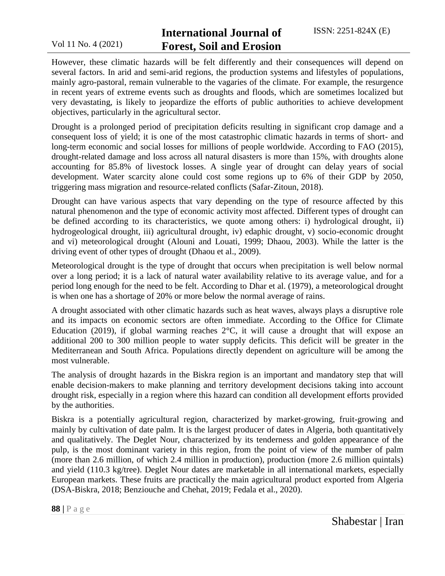### **International Journal of Forest, Soil and Erosion**

However, these climatic hazards will be felt differently and their consequences will depend on several factors. In arid and semi-arid regions, the production systems and lifestyles of populations, mainly agro-pastoral, remain vulnerable to the vagaries of the climate. For example, the resurgence in recent years of extreme events such as droughts and floods, which are sometimes localized but very devastating, is likely to jeopardize the efforts of public authorities to achieve development objectives, particularly in the agricultural sector.

Drought is a prolonged period of precipitation deficits resulting in significant crop damage and a consequent loss of yield; it is one of the most catastrophic climatic hazards in terms of short- and long-term economic and social losses for millions of people worldwide. According to FAO (2015), drought-related damage and loss across all natural disasters is more than 15%, with droughts alone accounting for 85.8% of livestock losses. A single year of drought can delay years of social development. Water scarcity alone could cost some regions up to 6% of their GDP by 2050, triggering mass migration and resource-related conflicts (Safar-Zitoun, 2018).

Drought can have various aspects that vary depending on the type of resource affected by this natural phenomenon and the type of economic activity most affected. Different types of drought can be defined according to its characteristics, we quote among others: i) hydrological drought, ii) hydrogeological drought, iii) agricultural drought, iv) edaphic drought, v) socio-economic drought and vi) meteorological drought (Alouni and Louati, 1999; Dhaou, 2003). While the latter is the driving event of other types of drought (Dhaou et al., 2009).

Meteorological drought is the type of drought that occurs when precipitation is well below normal over a long period; it is a lack of natural water availability relative to its average value, and for a period long enough for the need to be felt. According to Dhar et al. (1979), a meteorological drought is when one has a shortage of 20% or more below the normal average of rains.

A drought associated with other climatic hazards such as heat waves, always plays a disruptive role and its impacts on economic sectors are often immediate. According to the Office for Climate Education (2019), if global warming reaches  $2^{\circ}$ C, it will cause a drought that will expose an additional 200 to 300 million people to water supply deficits. This deficit will be greater in the Mediterranean and South Africa. Populations directly dependent on agriculture will be among the most vulnerable.

The analysis of drought hazards in the Biskra region is an important and mandatory step that will enable decision-makers to make planning and territory development decisions taking into account drought risk, especially in a region where this hazard can condition all development efforts provided by the authorities.

Biskra is a potentially agricultural region, characterized by market-growing, fruit-growing and mainly by cultivation of date palm. It is the largest producer of dates in Algeria, both quantitatively and qualitatively. The Deglet Nour, characterized by its tenderness and golden appearance of the pulp, is the most dominant variety in this region, from the point of view of the number of palm (more than 2.6 million, of which 2.4 million in production), production (more 2.6 million quintals) and yield (110.3 kg/tree). Deglet Nour dates are marketable in all international markets, especially European markets. These fruits are practically the main agricultural product exported from Algeria (DSA-Biskra, 2018; Benziouche and Chehat, 2019; Fedala et al., 2020).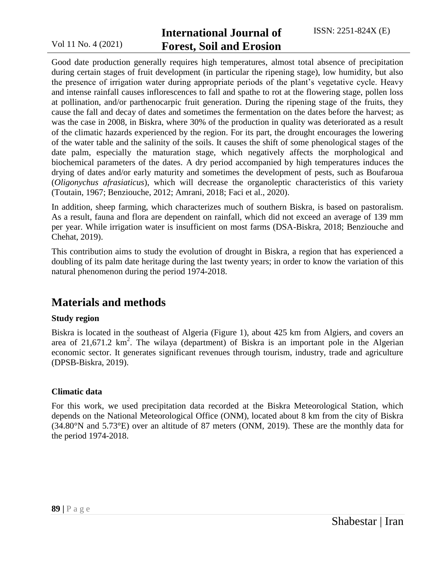## **International Journal of Forest, Soil and Erosion**

Good date production generally requires high temperatures, almost total absence of precipitation during certain stages of fruit development (in particular the ripening stage), low humidity, but also the presence of irrigation water during appropriate periods of the plant's vegetative cycle. Heavy and intense rainfall causes inflorescences to fall and spathe to rot at the flowering stage, pollen loss at pollination, and/or parthenocarpic fruit generation. During the ripening stage of the fruits, they cause the fall and decay of dates and sometimes the fermentation on the dates before the harvest; as was the case in 2008, in Biskra, where 30% of the production in quality was deteriorated as a result of the climatic hazards experienced by the region. For its part, the drought encourages the lowering of the water table and the salinity of the soils. It causes the shift of some phenological stages of the date palm, especially the maturation stage, which negatively affects the morphological and biochemical parameters of the dates. A dry period accompanied by high temperatures induces the drying of dates and/or early maturity and sometimes the development of pests, such as Boufaroua (*Oligonychus afrasiaticus*), which will decrease the organoleptic characteristics of this variety (Toutain, 1967; Benziouche, 2012; Amrani, 2018; Faci et al., 2020).

In addition, sheep farming, which characterizes much of southern Biskra, is based on pastoralism. As a result, fauna and flora are dependent on rainfall, which did not exceed an average of 139 mm per year. While irrigation water is insufficient on most farms (DSA-Biskra, 2018; Benziouche and Chehat, 2019).

This contribution aims to study the evolution of drought in Biskra, a region that has experienced a doubling of its palm date heritage during the last twenty years; in order to know the variation of this natural phenomenon during the period 1974-2018.

### **Materials and methods**

#### **Study region**

Biskra is located in the southeast of Algeria (Figure 1), about 425 km from Algiers, and covers an area of  $21,671.2$  km<sup>2</sup>. The wilaya (department) of Biskra is an important pole in the Algerian economic sector. It generates significant revenues through tourism, industry, trade and agriculture (DPSB-Biskra, 2019).

#### **Climatic data**

For this work, we used precipitation data recorded at the Biskra Meteorological Station, which depends on the National Meteorological Office (ONM), located about 8 km from the city of Biskra (34.80°N and 5.73°E) over an altitude of 87 meters (ONM, 2019). These are the monthly data for the period 1974-2018.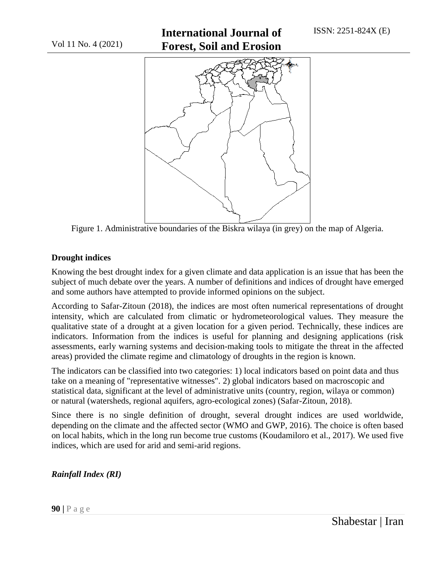# **International Journal of Forest, Soil and Erosion**



Figure 1. Administrative boundaries of the Biskra wilaya (in grey) on the map of Algeria.

### **Drought indices**

Knowing the best drought index for a given climate and data application is an issue that has been the subject of much debate over the years. A number of definitions and indices of drought have emerged and some authors have attempted to provide informed opinions on the subject.

According to Safar-Zitoun (2018), the indices are most often numerical representations of drought intensity, which are calculated from climatic or hydrometeorological values. They measure the qualitative state of a drought at a given location for a given period. Technically, these indices are indicators. Information from the indices is useful for planning and designing applications (risk assessments, early warning systems and decision-making tools to mitigate the threat in the affected areas) provided the climate regime and climatology of droughts in the region is known.

The indicators can be classified into two categories: 1) local indicators based on point data and thus take on a meaning of "representative witnesses". 2) global indicators based on macroscopic and statistical data, significant at the level of administrative units (country, region, wilaya or common) or natural (watersheds, regional aquifers, agro-ecological zones) (Safar-Zitoun, 2018).

Since there is no single definition of drought, several drought indices are used worldwide, depending on the climate and the affected sector (WMO and GWP, 2016). The choice is often based on local habits, which in the long run become true customs (Koudamiloro et al., 2017). We used five indices, which are used for arid and semi-arid regions.

*Rainfall Index (RI)*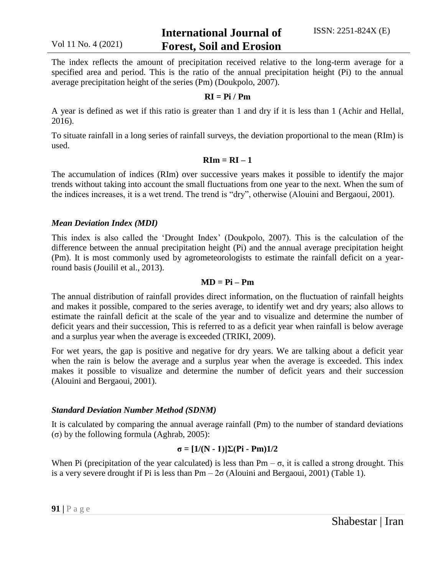The index reflects the amount of precipitation received relative to the long-term average for a specified area and period. This is the ratio of the annual precipitation height (Pi) to the annual average precipitation height of the series (Pm) (Doukpolo, 2007).

#### **RI = Pi / Pm**

A year is defined as wet if this ratio is greater than 1 and dry if it is less than 1 (Achir and Hellal, 2016).

To situate rainfall in a long series of rainfall surveys, the deviation proportional to the mean (RIm) is used.

#### $\mathbf{R} \mathbf{I} \mathbf{m} = \mathbf{R} \mathbf{I} - \mathbf{1}$

The accumulation of indices (RIm) over successive years makes it possible to identify the major trends without taking into account the small fluctuations from one year to the next. When the sum of the indices increases, it is a wet trend. The trend is "dry", otherwise (Alouini and Bergaoui, 2001).

#### *Mean Deviation Index (MDI)*

This index is also called the 'Drought Index' (Doukpolo, 2007). This is the calculation of the difference between the annual precipitation height (Pi) and the annual average precipitation height (Pm). It is most commonly used by agrometeorologists to estimate the rainfall deficit on a yearround basis (Jouilil et al., 2013).

#### $MD = Pi - Pm$

The annual distribution of rainfall provides direct information, on the fluctuation of rainfall heights and makes it possible, compared to the series average, to identify wet and dry years; also allows to estimate the rainfall deficit at the scale of the year and to visualize and determine the number of deficit years and their succession, This is referred to as a deficit year when rainfall is below average and a surplus year when the average is exceeded (TRIKI, 2009).

For wet years, the gap is positive and negative for dry years. We are talking about a deficit year when the rain is below the average and a surplus year when the average is exceeded. This index makes it possible to visualize and determine the number of deficit years and their succession (Alouini and Bergaoui, 2001).

#### *Standard Deviation Number Method (SDNM)*

It is calculated by comparing the annual average rainfall (Pm) to the number of standard deviations (σ) by the following formula (Aghrab, 2005):

#### **σ = [1/(N - 1)]Σ(Pi - Pm)1/2**

When Pi (precipitation of the year calculated) is less than  $Pm - \sigma$ , it is called a strong drought. This is a very severe drought if Pi is less than  $Pm - 2\sigma$  (Alouini and Bergaoui, 2001) (Table 1).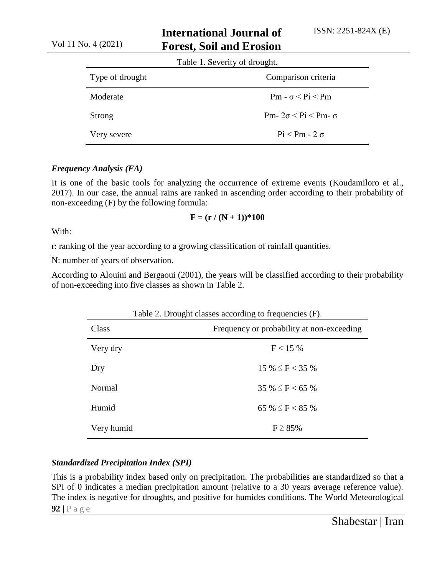## **International Journal of Forest, Soil and Erosion**

| Table 1. Severity of drought. |                                     |  |
|-------------------------------|-------------------------------------|--|
| Type of drought               | Comparison criteria                 |  |
| Moderate                      | $Pm - \sigma < Pi < Pm$             |  |
| <b>Strong</b>                 | Pm- $2\sigma <$ Pi $<$ Pm- $\sigma$ |  |
| Very severe                   | $Pi < Pm - 2 \sigma$                |  |

#### *Frequency Analysis (FA)*

It is one of the basic tools for analyzing the occurrence of extreme events (Koudamiloro et al., 2017). In our case, the annual rains are ranked in ascending order according to their probability of non-exceeding (F) by the following formula:

#### $F = (r / (N + 1))$  \* 100

With:

r: ranking of the year according to a growing classification of rainfall quantities.

N: number of years of observation.

According to Alouini and Bergaoui (2001), the years will be classified according to their probability of non-exceeding into five classes as shown in Table 2.

|            | Table 2. Drought classes according to frequencies (F). |  |  |
|------------|--------------------------------------------------------|--|--|
| Class      | Frequency or probability at non-exceeding              |  |  |
| Very dry   | F < 15%                                                |  |  |
| Dry        | $15\% \leq F < 35\%$                                   |  |  |
| Normal     | $35\% \leq F < 65\%$                                   |  |  |
| Humid      | 65 % $\leq$ F $<$ 85 %                                 |  |  |
| Very humid | $F \geq 85\%$                                          |  |  |

#### *Standardized Precipitation Index (SPI)*

**92 |** P a g e This is a probability index based only on precipitation. The probabilities are standardized so that a SPI of 0 indicates a median precipitation amount (relative to a 30 years average reference value). The index is negative for droughts, and positive for humides conditions. The World Meteorological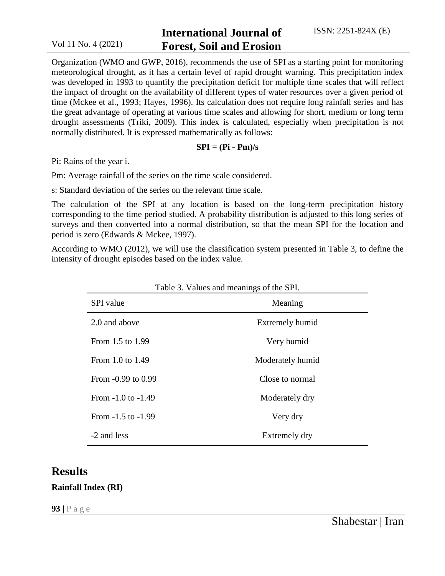### **International Journal of Forest, Soil and Erosion**

Organization (WMO and GWP, 2016), recommends the use of SPI as a starting point for monitoring meteorological drought, as it has a certain level of rapid drought warning. This precipitation index was developed in 1993 to quantify the precipitation deficit for multiple time scales that will reflect the impact of drought on the availability of different types of water resources over a given period of time (Mckee et al., 1993; Hayes, 1996). Its calculation does not require long rainfall series and has the great advantage of operating at various time scales and allowing for short, medium or long term drought assessments (Triki, 2009). This index is calculated, especially when precipitation is not normally distributed. It is expressed mathematically as follows:

#### $SPI = (Pi - Pm)/s$

Pi: Rains of the year i.

Pm: Average rainfall of the series on the time scale considered.

s: Standard deviation of the series on the relevant time scale.

The calculation of the SPI at any location is based on the long-term precipitation history corresponding to the time period studied. A probability distribution is adjusted to this long series of surveys and then converted into a normal distribution, so that the mean SPI for the location and period is zero (Edwards & Mckee, 1997).

According to WMO (2012), we will use the classification system presented in Table 3, to define the intensity of drought episodes based on the index value.

| <b>SPI</b> value       | Meaning          |  |
|------------------------|------------------|--|
| 2.0 and above          | Extremely humid  |  |
| From 1.5 to 1.99       | Very humid       |  |
| From 1.0 to 1.49       | Moderately humid |  |
| From -0.99 to 0.99     | Close to normal  |  |
| From $-1.0$ to $-1.49$ | Moderately dry   |  |
| From $-1.5$ to $-1.99$ | Very dry         |  |
| -2 and less            | Extremely dry    |  |

**Results**

### **Rainfall Index (RI)**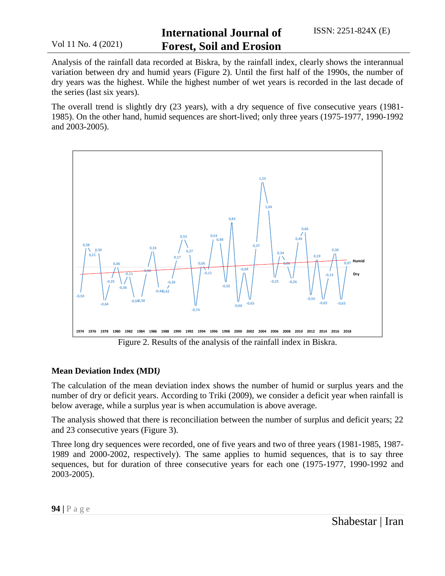## **International Journal of Forest, Soil and Erosion**

Analysis of the rainfall data recorded at Biskra, by the rainfall index, clearly shows the interannual variation between dry and humid years (Figure 2). Until the first half of the 1990s, the number of dry years was the highest. While the highest number of wet years is recorded in the last decade of the series (last six years).

The overall trend is slightly dry (23 years), with a dry sequence of five consecutive years (1981- 1985). On the other hand, humid sequences are short-lived; only three years (1975-1977, 1990-1992 and 2003-2005).



#### **Mean Deviation Index (MDI***)*

The calculation of the mean deviation index shows the number of humid or surplus years and the number of dry or deficit years. According to Triki (2009), we consider a deficit year when rainfall is below average, while a surplus year is when accumulation is above average.

The analysis showed that there is reconciliation between the number of surplus and deficit years; 22 and 23 consecutive years (Figure 3).

Three long dry sequences were recorded, one of five years and two of three years (1981-1985, 1987- 1989 and 2000-2002, respectively). The same applies to humid sequences, that is to say three sequences, but for duration of three consecutive years for each one (1975-1977, 1990-1992 and 2003-2005).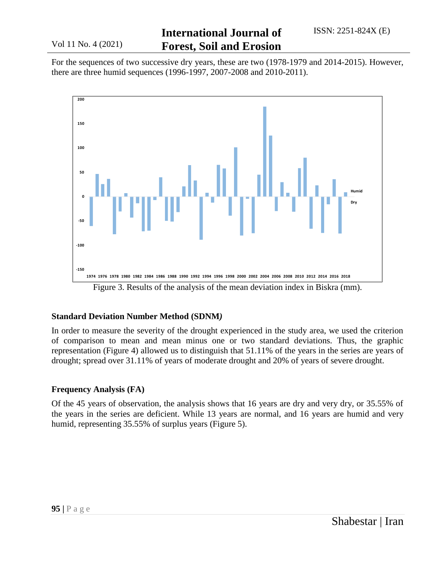For the sequences of two successive dry years, these are two (1978-1979 and 2014-2015). However, there are three humid sequences (1996-1997, 2007-2008 and 2010-2011).



Figure 3. Results of the analysis of the mean deviation index in Biskra (mm).

#### **Standard Deviation Number Method (SDNM***)*

In order to measure the severity of the drought experienced in the study area, we used the criterion of comparison to mean and mean minus one or two standard deviations. Thus, the graphic representation (Figure 4) allowed us to distinguish that 51.11% of the years in the series are years of drought; spread over 31.11% of years of moderate drought and 20% of years of severe drought.

#### **Frequency Analysis (FA)**

Of the 45 years of observation, the analysis shows that 16 years are dry and very dry, or 35.55% of the years in the series are deficient. While 13 years are normal, and 16 years are humid and very humid, representing 35.55% of surplus years (Figure 5).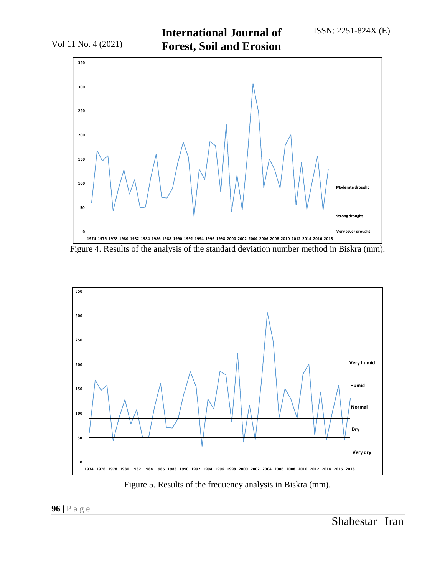

Figure 4. Results of the analysis of the standard deviation number method in Biskra (mm).



Figure 5. Results of the frequency analysis in Biskra (mm).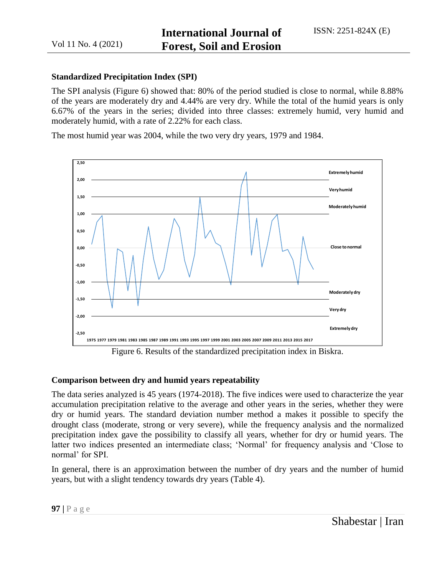#### **Standardized Precipitation Index (SPI)**

The SPI analysis (Figure 6) showed that: 80% of the period studied is close to normal, while 8.88% of the years are moderately dry and 4.44% are very dry. While the total of the humid years is only 6.67% of the years in the series; divided into three classes: extremely humid, very humid and moderately humid, with a rate of 2.22% for each class.

The most humid year was 2004, while the two very dry years, 1979 and 1984.



Figure 6. Results of the standardized precipitation index in Biskra.

#### **Comparison between dry and humid years repeatability**

The data series analyzed is 45 years (1974-2018). The five indices were used to characterize the year accumulation precipitation relative to the average and other years in the series, whether they were dry or humid years. The standard deviation number method a makes it possible to specify the drought class (moderate, strong or very severe), while the frequency analysis and the normalized precipitation index gave the possibility to classify all years, whether for dry or humid years. The latter two indices presented an intermediate class; 'Normal' for frequency analysis and 'Close to normal' for SPI.

In general, there is an approximation between the number of dry years and the number of humid years, but with a slight tendency towards dry years (Table 4).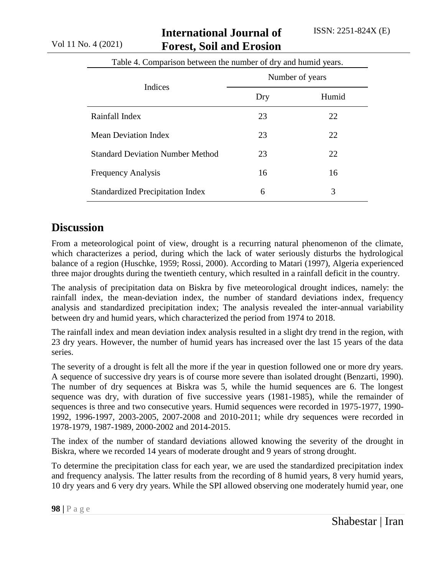### **International Journal of Forest, Soil and Erosion**

|                                         | Number of years |       |
|-----------------------------------------|-----------------|-------|
| Indices                                 | Dry             | Humid |
| Rainfall Index                          | 23              | 22    |
| Mean Deviation Index                    | 23              | 22    |
| <b>Standard Deviation Number Method</b> | 23              | 22    |
| <b>Frequency Analysis</b>               | 16              | 16    |
| <b>Standardized Precipitation Index</b> | 6               | 3     |

Table 4. Comparison between the number of dry and humid years.

## **Discussion**

From a meteorological point of view, drought is a recurring natural phenomenon of the climate, which characterizes a period, during which the lack of water seriously disturbs the hydrological balance of a region (Huschke, 1959; Rossi, 2000). According to Matari (1997), Algeria experienced three major droughts during the twentieth century, which resulted in a rainfall deficit in the country.

The analysis of precipitation data on Biskra by five meteorological drought indices, namely: the rainfall index, the mean-deviation index, the number of standard deviations index, frequency analysis and standardized precipitation index; The analysis revealed the inter-annual variability between dry and humid years, which characterized the period from 1974 to 2018.

The rainfall index and mean deviation index analysis resulted in a slight dry trend in the region, with 23 dry years. However, the number of humid years has increased over the last 15 years of the data series.

The severity of a drought is felt all the more if the year in question followed one or more dry years. A sequence of successive dry years is of course more severe than isolated drought (Benzarti, 1990). The number of dry sequences at Biskra was 5, while the humid sequences are 6. The longest sequence was dry, with duration of five successive years (1981-1985), while the remainder of sequences is three and two consecutive years. Humid sequences were recorded in 1975-1977, 1990- 1992, 1996-1997, 2003-2005, 2007-2008 and 2010-2011; while dry sequences were recorded in 1978-1979, 1987-1989, 2000-2002 and 2014-2015.

The index of the number of standard deviations allowed knowing the severity of the drought in Biskra, where we recorded 14 years of moderate drought and 9 years of strong drought.

To determine the precipitation class for each year, we are used the standardized precipitation index and frequency analysis. The latter results from the recording of 8 humid years, 8 very humid years, 10 dry years and 6 very dry years. While the SPI allowed observing one moderately humid year, one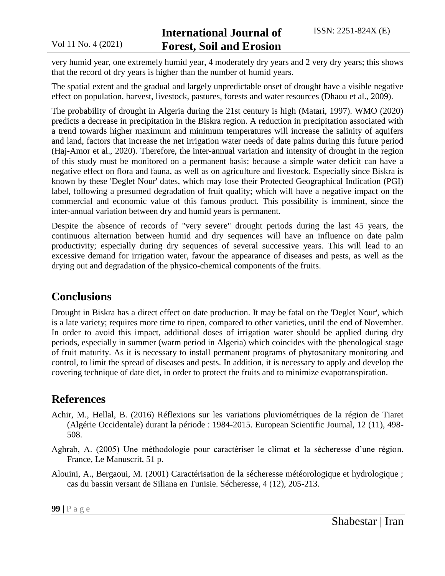very humid year, one extremely humid year, 4 moderately dry years and 2 very dry years; this shows that the record of dry years is higher than the number of humid years.

The spatial extent and the gradual and largely unpredictable onset of drought have a visible negative effect on population, harvest, livestock, pastures, forests and water resources (Dhaou et al., 2009).

The probability of drought in Algeria during the 21st century is high (Matari, 1997). WMO (2020) predicts a decrease in precipitation in the Biskra region. A reduction in precipitation associated with a trend towards higher maximum and minimum temperatures will increase the salinity of aquifers and land, factors that increase the net irrigation water needs of date palms during this future period (Haj-Amor et al., 2020). Therefore, the inter-annual variation and intensity of drought in the region of this study must be monitored on a permanent basis; because a simple water deficit can have a negative effect on flora and fauna, as well as on agriculture and livestock. Especially since Biskra is known by these 'Deglet Nour' dates, which may lose their Protected Geographical Indication (PGI) label, following a presumed degradation of fruit quality; which will have a negative impact on the commercial and economic value of this famous product. This possibility is imminent, since the inter-annual variation between dry and humid years is permanent.

Despite the absence of records of "very severe" drought periods during the last 45 years, the continuous alternation between humid and dry sequences will have an influence on date palm productivity; especially during dry sequences of several successive years. This will lead to an excessive demand for irrigation water, favour the appearance of diseases and pests, as well as the drying out and degradation of the physico-chemical components of the fruits.

## **Conclusions**

Drought in Biskra has a direct effect on date production. It may be fatal on the 'Deglet Nour', which is a late variety; requires more time to ripen, compared to other varieties, until the end of November. In order to avoid this impact, additional doses of irrigation water should be applied during dry periods, especially in summer (warm period in Algeria) which coincides with the phenological stage of fruit maturity. As it is necessary to install permanent programs of phytosanitary monitoring and control, to limit the spread of diseases and pests. In addition, it is necessary to apply and develop the covering technique of date diet, in order to protect the fruits and to minimize evapotranspiration.

# **References**

- Achir, M., Hellal, B. (2016) Réflexions sur les variations pluviométriques de la région de Tiaret (Algérie Occidentale) durant la période : 1984-2015. European Scientific Journal, 12 (11), 498- 508.
- Aghrab, A. (2005) Une méthodologie pour caractériser le climat et la sécheresse d'une région. France, Le Manuscrit, 51 p.
- Alouini, A., Bergaoui, M. (2001) Caractérisation de la sécheresse météorologique et hydrologique ; cas du bassin versant de Siliana en Tunisie. Sécheresse, 4 (12), 205-213.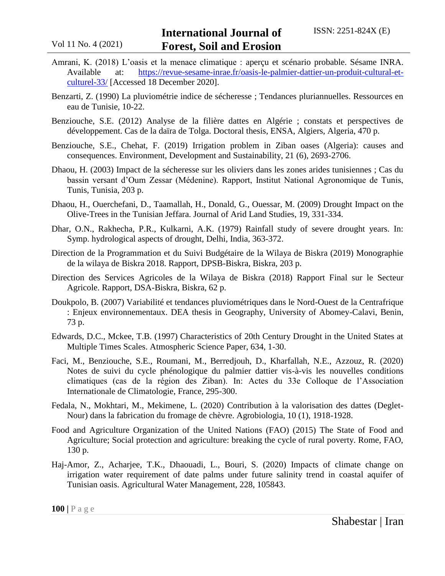- Amrani, K. (2018) L'oasis et la menace climatique : aperçu et scénario probable. Sésame INRA. Available at: [https://revue-sesame-inrae.fr/oasis-le-palmier-dattier-un-produit-cultural-et](https://revue-sesame-inrae.fr/oasis-le-palmier-dattier-un-produit-cultural-et-culturel-33/)[culturel-33/](https://revue-sesame-inrae.fr/oasis-le-palmier-dattier-un-produit-cultural-et-culturel-33/) [Accessed 18 December 2020].
- Benzarti, Z. (1990) La pluviométrie indice de sécheresse ; Tendances pluriannuelles. Ressources en eau de Tunisie, 10-22.
- Benziouche, S.E. (2012) Analyse de la filière dattes en Algérie ; constats et perspectives de développement. Cas de la daïra de Tolga. Doctoral thesis, ENSA, Algiers, Algeria, 470 p.
- Benziouche, S.E., Chehat, F. (2019) Irrigation problem in Ziban oases (Algeria): causes and consequences. Environment, Development and Sustainability, 21 (6), 2693-2706.
- Dhaou, H. (2003) Impact de la sécheresse sur les oliviers dans les zones arides tunisiennes ; Cas du bassin versant d'Oum Zessar (Médenine). Rapport, Institut National Agronomique de Tunis, Tunis, Tunisia, 203 p.
- Dhaou, H., Ouerchefani, D., Taamallah, H., Donald, G., Ouessar, M. (2009) Drought Impact on the Olive-Trees in the Tunisian Jeffara. Journal of Arid Land Studies, 19, 331-334.
- Dhar, O.N., Rakhecha, P.R., Kulkarni, A.K. (1979) Rainfall study of severe drought years. In: Symp. hydrological aspects of drought, Delhi, India, 363-372.
- Direction de la Programmation et du Suivi Budgétaire de la Wilaya de Biskra (2019) Monographie de la wilaya de Biskra 2018. Rapport, DPSB-Biskra, Biskra, 203 p.
- Direction des Services Agricoles de la Wilaya de Biskra (2018) Rapport Final sur le Secteur Agricole. Rapport, DSA-Biskra, Biskra, 62 p.
- Doukpolo, B. (2007) Variabilité et tendances pluviométriques dans le Nord-Ouest de la Centrafrique : Enjeux environnementaux. DEA thesis in Geography, University of Abomey-Calavi, Benin, 73 p.
- Edwards, D.C., Mckee, T.B. (1997) Characteristics of 20th Century Drought in the United States at Multiple Times Scales. Atmospheric Science Paper, 634, 1-30.
- Faci, M., Benziouche, S.E., Roumani, M., Berredjouh, D., Kharfallah, N.E., Azzouz, R. (2020) Notes de suivi du cycle phénologique du palmier dattier vis-à-vis les nouvelles conditions climatiques (cas de la région des Ziban). In: Actes du 33e Colloque de l'Association Internationale de Climatologie, France, 295-300.
- Fedala, N., Mokhtari, M., Mekimene, L. (2020) Contribution à la valorisation des dattes (Deglet-Nour) dans la fabrication du fromage de chèvre. Agrobiologia, 10 (1), 1918-1928.
- Food and Agriculture Organization of the United Nations (FAO) (2015) The State of Food and Agriculture; Social protection and agriculture: breaking the cycle of rural poverty. Rome, FAO, 130 p.
- Haj-Amor, Z., Acharjee, T.K., Dhaouadi, L., Bouri, S. (2020) Impacts of climate change on irrigation water requirement of date palms under future salinity trend in coastal aquifer of Tunisian oasis. Agricultural Water Management, 228, 105843.